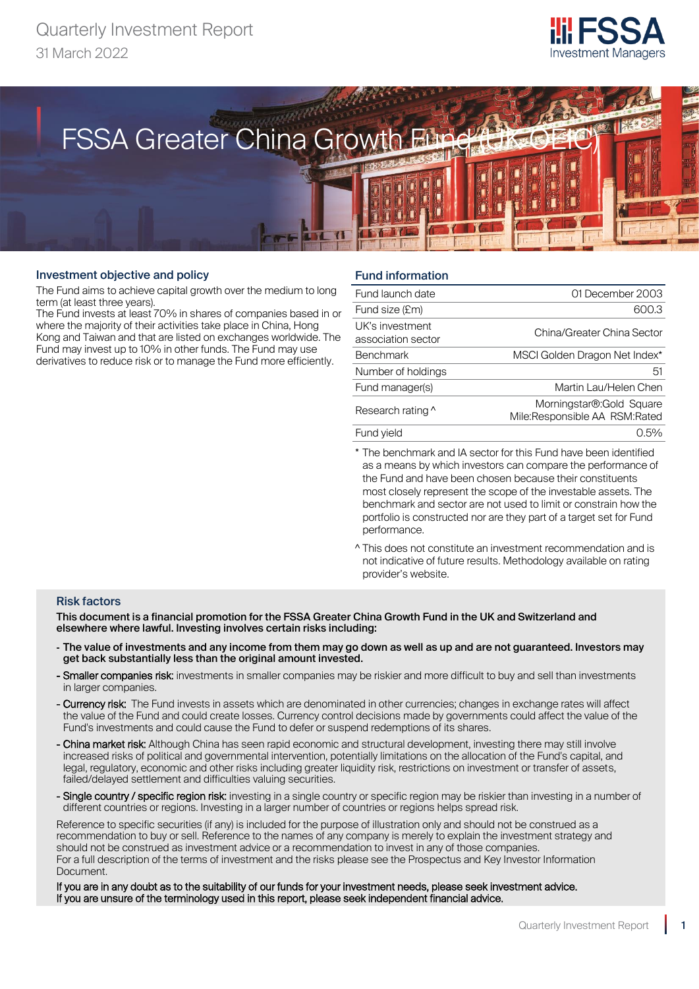



#### Investment objective and policy

The Fund aims to achieve capital growth over the medium to long term (at least three years).

The Fund invests at least 70% in shares of companies based in or where the majority of their activities take place in China, Hong Kong and Taiwan and that are listed on exchanges worldwide. The Fund may invest up to 10% in other funds. The Fund may use derivatives to reduce risk or to manage the Fund more efficiently.

# Fund information

| Fund launch date                      | 01 December 2003                                           |
|---------------------------------------|------------------------------------------------------------|
| Fund size (£m)                        | 600.3                                                      |
| UK's investment<br>association sector | China/Greater China Sector                                 |
| <b>Benchmark</b>                      | MSCI Golden Dragon Net Index*                              |
| Number of holdings                    | 51                                                         |
| Fund manager(s)                       | Martin Lau/Helen Chen                                      |
| Research rating ^                     | Morningstar®: Gold Square<br>Mile:Responsible AA RSM:Rated |
| Fund yield                            | $0.5\%$                                                    |
|                                       |                                                            |

\* The benchmark and IA sector for this Fund have been identified as a means by which investors can compare the performance of the Fund and have been chosen because their constituents most closely represent the scope of the investable assets. The benchmark and sector are not used to limit or constrain how the portfolio is constructed nor are they part of a target set for Fund performance.

^ This does not constitute an investment recommendation and is not indicative of future results. Methodology available on rating provider's website.

#### Risk factors

This document is a financial promotion for the FSSA Greater China Growth Fund in the UK and Switzerland and elsewhere where lawful. Investing involves certain risks including:

- The value of investments and any income from them may go down as well as up and are not guaranteed. Investors may get back substantially less than the original amount invested.
- Smaller companies risk: investments in smaller companies may be riskier and more difficult to buy and sell than investments in larger companies.
- Currency risk: The Fund invests in assets which are denominated in other currencies; changes in exchange rates will affect the value of the Fund and could create losses. Currency control decisions made by governments could affect the value of the Fund's investments and could cause the Fund to defer or suspend redemptions of its shares.
- China market risk: Although China has seen rapid economic and structural development, investing there may still involve increased risks of political and governmental intervention, potentially limitations on the allocation of the Fund's capital, and legal, regulatory, economic and other risks including greater liquidity risk, restrictions on investment or transfer of assets, failed/delayed settlement and difficulties valuing securities.
- Single country / specific region risk: investing in a single country or specific region may be riskier than investing in a number of different countries or regions. Investing in a larger number of countries or regions helps spread risk.

Reference to specific securities (if any) is included for the purpose of illustration only and should not be construed as a recommendation to buy or sell. Reference to the names of any company is merely to explain the investment strategy and should not be construed as investment advice or a recommendation to invest in any of those companies. For a full description of the terms of investment and the risks please see the Prospectus and Key Investor Information Document.

If you are in any doubt as to the suitability of our funds for your investment needs, please seek investment advice. If you are unsure of the terminology used in this report, please seek independent financial advice.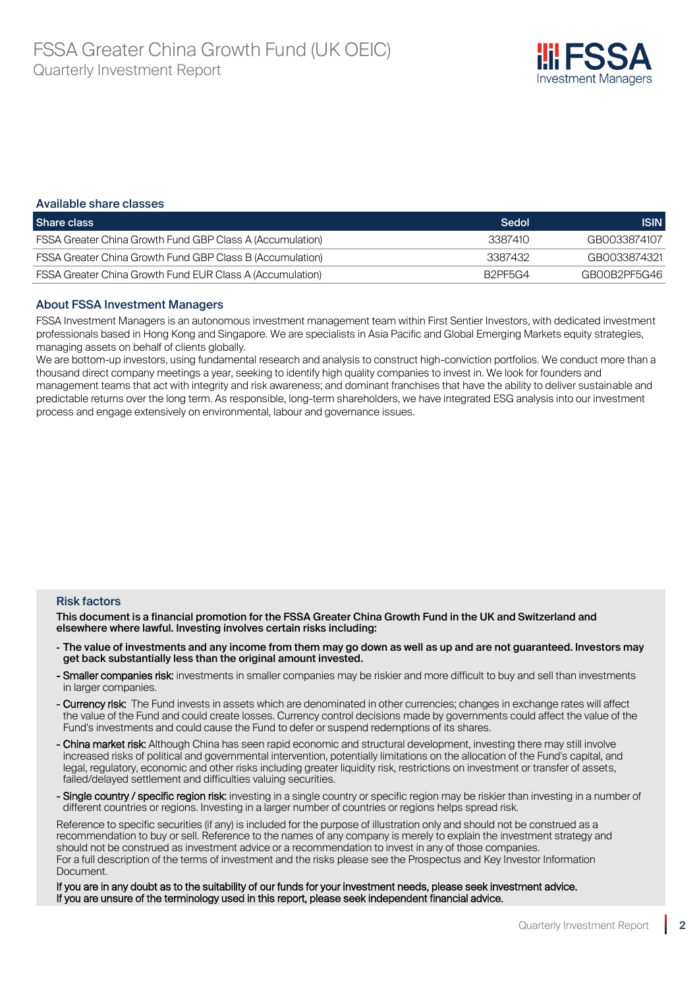

#### Available share classes

| Share class                                                      | Sedol   | <b>ISIN</b>  |
|------------------------------------------------------------------|---------|--------------|
| <b>FSSA Greater China Growth Fund GBP Class A (Accumulation)</b> | 3387410 | GB0033874107 |
| FSSA Greater China Growth Fund GBP Class B (Accumulation)        | 3387432 | GB0033874321 |
| <b>FSSA Greater China Growth Fund EUR Class A (Accumulation)</b> | B2PF5G4 | GB00B2PF5G46 |

#### About FSSA Investment Managers

FSSA Investment Managers is an autonomous investment management team within First Sentier Investors, with dedicated investment professionals based in Hong Kong and Singapore. We are specialists in Asia Pacific and Global Emerging Markets equity strategies, managing assets on behalf of clients globally.

We are bottom-up investors, using fundamental research and analysis to construct high-conviction portfolios. We conduct more than a thousand direct company meetings a year, seeking to identify high quality companies to invest in. We look for founders and management teams that act with integrity and risk awareness; and dominant franchises that have the ability to deliver sustainable and predictable returns over the long term. As responsible, long-term shareholders, we have integrated ESG analysis into our investment process and engage extensively on environmental, labour and governance issues.

#### Risk factors

This document is a financial promotion for the FSSA Greater China Growth Fund in the UK and Switzerland and elsewhere where lawful. Investing involves certain risks including:

- The value of investments and any income from them may go down as well as up and are not guaranteed. Investors may get back substantially less than the original amount invested.
- Smaller companies risk: investments in smaller companies may be riskier and more difficult to buy and sell than investments in larger companies.
- Currency risk: The Fund invests in assets which are denominated in other currencies; changes in exchange rates will affect the value of the Fund and could create losses. Currency control decisions made by governments could affect the value of the Fund's investments and could cause the Fund to defer or suspend redemptions of its shares.
- China market risk: Although China has seen rapid economic and structural development, investing there may still involve increased risks of political and governmental intervention, potentially limitations on the allocation of the Fund's capital, and legal, regulatory, economic and other risks including greater liquidity risk, restrictions on investment or transfer of assets, failed/delayed settlement and difficulties valuing securities.
- Single country / specific region risk: investing in a single country or specific region may be riskier than investing in a number of different countries or regions. Investing in a larger number of countries or regions helps spread risk.

Reference to specific securities (if any) is included for the purpose of illustration only and should not be construed as a recommendation to buy or sell. Reference to the names of any company is merely to explain the investment strategy and should not be construed as investment advice or a recommendation to invest in any of those companies. For a full description of the terms of investment and the risks please see the Prospectus and Key Investor Information Document.

If you are in any doubt as to the suitability of our funds for your investment needs, please seek investment advice. If you are unsure of the terminology used in this report, please seek independent financial advice.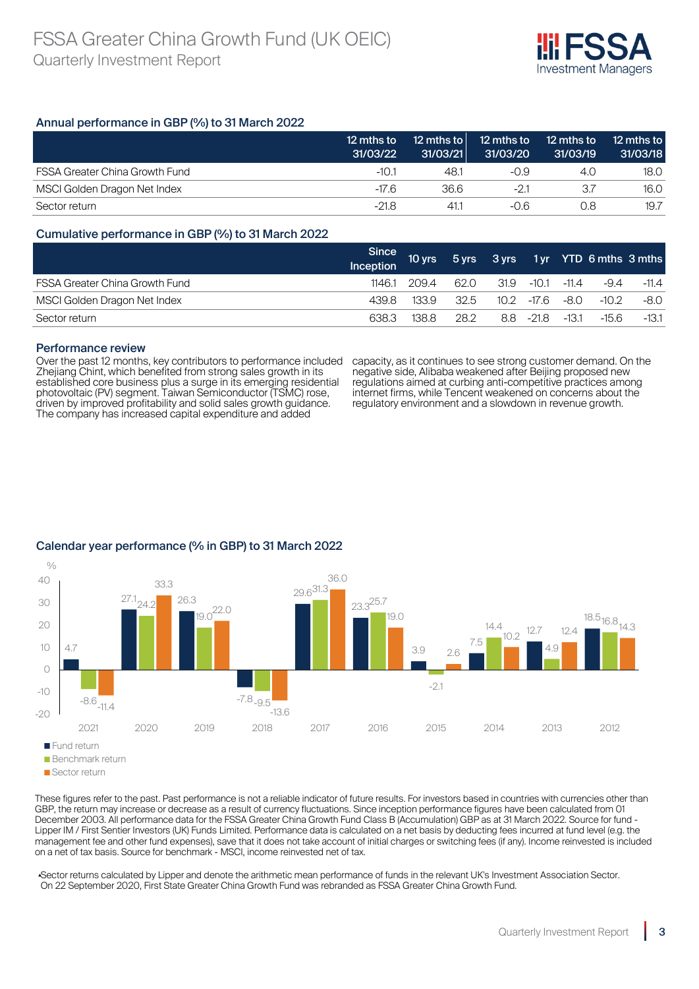

# Annual performance in GBP (%) to 31 March 2022

|                                       | 12 mths to<br>31/03/22 | 12 mths to<br>31/03/21 | 12 mths to<br>31/03/20 | 12 mths to<br>31/03/19 | 12 mths to<br>31/03/18 |
|---------------------------------------|------------------------|------------------------|------------------------|------------------------|------------------------|
| <b>FSSA Greater China Growth Fund</b> | $-10.1$                | 48.1                   | -0.9                   | 4.O                    | 18.0                   |
| MSCI Golden Dragon Net Index          | $-17.6$                | 36.6                   | $-21$                  | 37                     | 16.0                   |
| Sector return                         | $-21.8$                | 41.1                   | -0.6                   | 0.8                    | 19.7                   |

# Cumulative performance in GBP (%) to 31 March 2022

|                                       | Since<br>Inception | $10 \text{ yrs}$ |      |      |                       |         | 5 yrs 3 yrs 1 yr YTD 6 mths 3 mths |         |
|---------------------------------------|--------------------|------------------|------|------|-----------------------|---------|------------------------------------|---------|
| <b>FSSA Greater China Growth Fund</b> | 1146.1             | 209.4            | 62.0 | 31.9 | $\cdot$ -10.1 $\cdot$ | $-11.4$ | $-9.4$                             | $-11.4$ |
| MSCI Golden Dragon Net Index          | 439.8              | 133.9            | 32.5 |      | $10.2$ -17.6 -8.0     |         | $-10.2$                            | -8.0    |
| Sector return                         | 638.3              | 138.8            | 28.2 |      | $8.8 - 21.8$          | $-13.1$ | $-15.6$                            | -13.1   |

#### Performance review

Over the past 12 months, key contributors to performance included Zhejiang Chint, which benefited from strong sales growth in its established core business plus a surge in its emerging residential photovoltaic (PV) segment. Taiwan Semiconductor (TSMC) rose, driven by improved profitability and solid sales growth guidance. The company has increased capital expenditure and added

capacity, as it continues to see strong customer demand. On the negative side, Alibaba weakened after Beijing proposed new regulations aimed at curbing anti-competitive practices among internet firms, while Tencent weakened on concerns about the regulatory environment and a slowdown in revenue growth.



# Calendar year performance (% in GBP) to 31 March 2022

These figures refer to the past. Past performance is not a reliable indicator of future results. For investors based in countries with currencies other than GBP, the return may increase or decrease as a result of currency fluctuations. Since inception performance figures have been calculated from 01 December 2003. All performance data for the FSSA Greater China Growth Fund Class B (Accumulation) GBP as at 31 March 2022. Source for fund - Lipper IM / First Sentier Investors (UK) Funds Limited. Performance data is calculated on a net basis by deducting fees incurred at fund level (e.g. the management fee and other fund expenses), save that it does not take account of initial charges or switching fees (if any). Income reinvested is included on a net of tax basis. Source for benchmark - MSCI, income reinvested net of tax.

▴Sector returns calculated by Lipper and denote the arithmetic mean performance of funds in the relevant UK's Investment Association Sector. On 22 September 2020, First State Greater China Growth Fund was rebranded as FSSA Greater China Growth Fund.

Sector return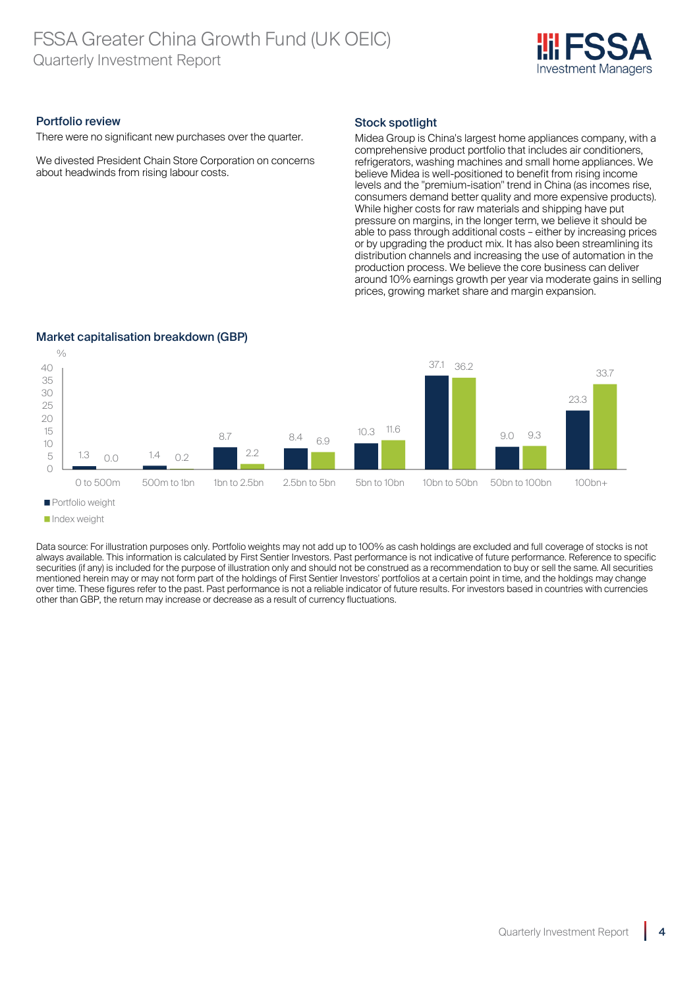# FSSA Greater China Growth Fund (UK OEIC) Quarterly Investment Report



#### Portfolio review

There were no significant new purchases over the quarter.

We divested President Chain Store Corporation on concerns about headwinds from rising labour costs.

# Stock spotlight

Midea Group is China's largest home appliances company, with a comprehensive product portfolio that includes air conditioners, refrigerators, washing machines and small home appliances. We believe Midea is well-positioned to benefit from rising income levels and the "premium-isation" trend in China (as incomes rise, consumers demand better quality and more expensive products). While higher costs for raw materials and shipping have put pressure on margins, in the longer term, we believe it should be able to pass through additional costs – either by increasing prices or by upgrading the product mix. It has also been streamlining its distribution channels and increasing the use of automation in the production process. We believe the core business can deliver around 10% earnings growth per year via moderate gains in selling prices, growing market share and margin expansion.



# Market capitalisation breakdown (GBP)

**Portfolio weight** 

Data source: For illustration purposes only. Portfolio weights may not add up to 100% as cash holdings are excluded and full coverage of stocks is not always available. This information is calculated by First Sentier Investors. Past performance is not indicative of future performance. Reference to specific securities (if any) is included for the purpose of illustration only and should not be construed as a recommendation to buy or sell the same. All securities mentioned herein may or may not form part of the holdings of First Sentier Investors' portfolios at a certain point in time, and the holdings may change over time. These figures refer to the past. Past performance is not a reliable indicator of future results. For investors based in countries with currencies other than GBP, the return may increase or decrease as a result of currency fluctuations.

**Index weight**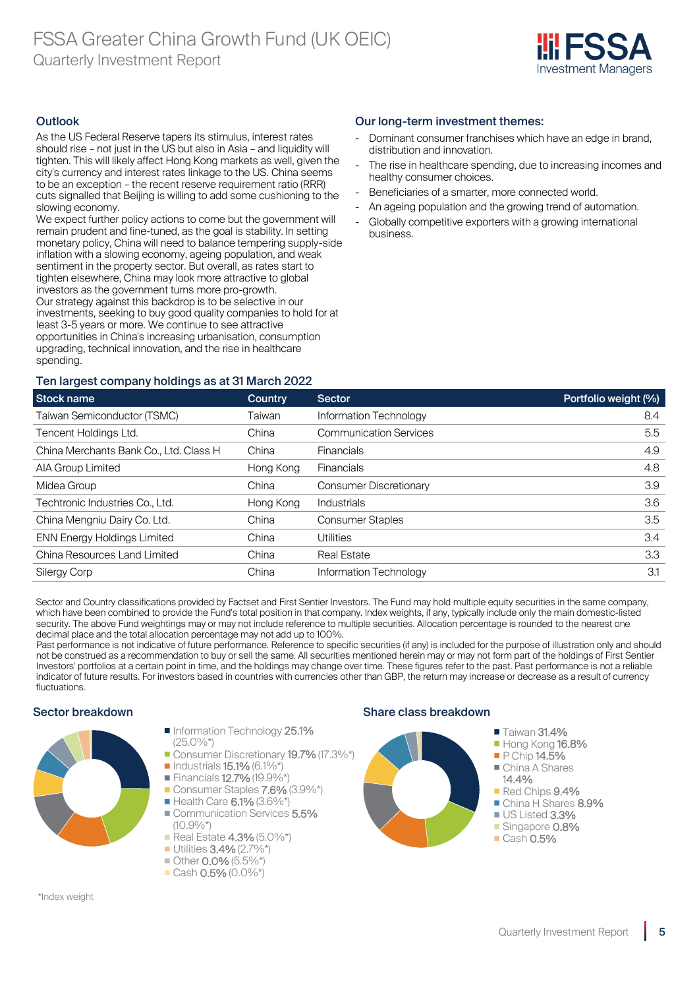

# **Outlook**

As the US Federal Reserve tapers its stimulus, interest rates should rise – not just in the US but also in Asia – and liquidity will tighten. This will likely affect Hong Kong markets as well, given the city's currency and interest rates linkage to the US. China seems to be an exception – the recent reserve requirement ratio (RRR) cuts signalled that Beijing is willing to add some cushioning to the slowing economy.

We expect further policy actions to come but the government will remain prudent and fine-tuned, as the goal is stability. In setting monetary policy, China will need to balance tempering supply-side inflation with a slowing economy, ageing population, and weak sentiment in the property sector. But overall, as rates start to tighten elsewhere, China may look more attractive to global investors as the government turns more pro-growth. Our strategy against this backdrop is to be selective in our investments, seeking to buy good quality companies to hold for at least 3-5 years or more. We continue to see attractive opportunities in China's increasing urbanisation, consumption upgrading, technical innovation, and the rise in healthcare spending.

# Our long-term investment themes:

- Dominant consumer franchises which have an edge in brand. distribution and innovation.
- The rise in healthcare spending, due to increasing incomes and healthy consumer choices.
- Beneficiaries of a smarter, more connected world.
- An ageing population and the growing trend of automation.
- Globally competitive exporters with a growing international business.

# Ten largest company holdings as at 31 March 2022

| Stock name                             | Country   | <b>Sector</b>                 | Portfolio weight (%) |
|----------------------------------------|-----------|-------------------------------|----------------------|
| Taiwan Semiconductor (TSMC)            | Taiwan    | Information Technology        | 8.4                  |
| Tencent Holdings Ltd.                  | China     | <b>Communication Services</b> | 5.5                  |
| China Merchants Bank Co., Ltd. Class H | China     | <b>Financials</b>             | 4.9                  |
| AIA Group Limited                      | Hong Kong | <b>Financials</b>             | 4.8                  |
| Midea Group                            | China     | <b>Consumer Discretionary</b> | 3.9                  |
| Techtronic Industries Co., Ltd.        | Hong Kong | Industrials                   | 3.6                  |
| China Mengniu Dairy Co. Ltd.           | China     | <b>Consumer Staples</b>       | 3.5                  |
| <b>ENN Energy Holdings Limited</b>     | China     | <b>Utilities</b>              | 3.4                  |
| China Resources Land Limited           | China     | <b>Real Estate</b>            | 3.3                  |
| <b>Silergy Corp</b>                    | China     | Information Technology        | 3.1                  |

Sector and Country classifications provided by Factset and First Sentier Investors. The Fund may hold multiple equity securities in the same company, which have been combined to provide the Fund's total position in that company. Index weights, if any, typically include only the main domestic-listed security. The above Fund weightings may or may not include reference to multiple securities. Allocation percentage is rounded to the nearest one decimal place and the total allocation percentage may not add up to 100%.

Past performance is not indicative of future performance. Reference to specific securities (if any) is included for the purpose of illustration only and should not be construed as a recommendation to buy or sell the same. All securities mentioned herein may or may not form part of the holdings of First Sentier Investors' portfolios at a certain point in time, and the holdings may change over time. These figures refer to the past. Past performance is not a reliable indicator of future results. For investors based in countries with currencies other than GBP, the return may increase or decrease as a result of currency fluctuations.



\*Index weight

- Information Technology 25.1% (25.0%\*)
- Consumer Discretionary 19.7% (17.3%\*)
- $\blacksquare$  Industrials **15.1%** (6.1%\*)
- Financials 12.7% (19.9%\* Consumer Staples **7.6%** (3.9%\*)
- Health Care 6.1% (3.6%\*)
- Communication Services 5.5%  $(10.9\%*)$
- Real Estate **4.3%** (5.0%\*)
- Utilities **3.4%** (2.7%\*)
- Other 0.0% (5.5%\*)
- $\blacksquare$  Cash 0.5% (0.0%\*)

# Sector breakdown Share class breakdown

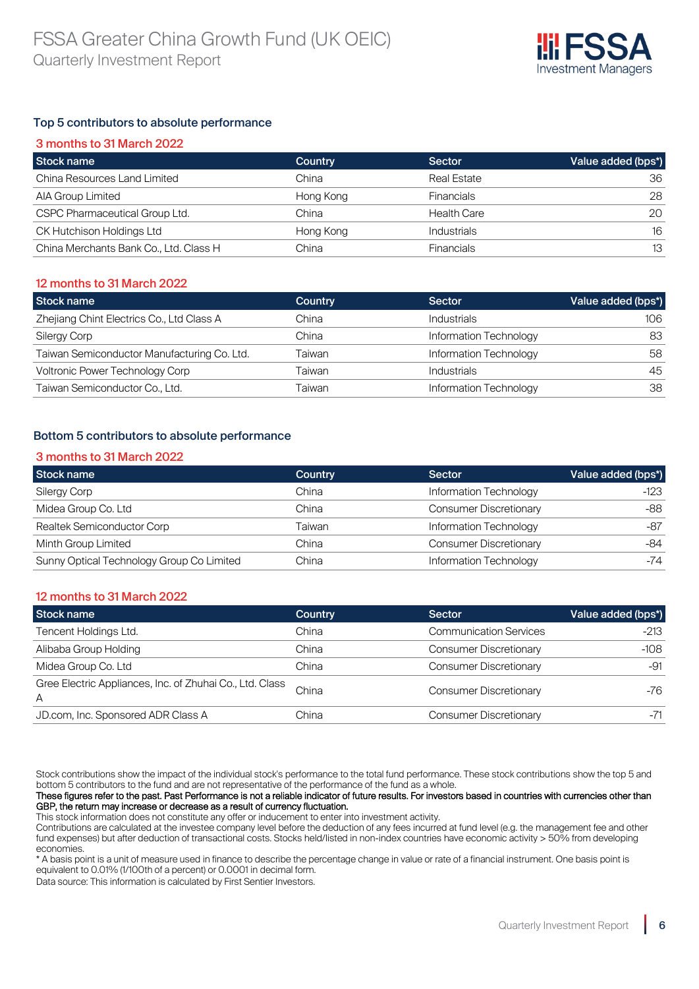

# Top 5 contributors to absolute performance

| 3 months to 31 March 2022              |           |                    |                    |  |  |
|----------------------------------------|-----------|--------------------|--------------------|--|--|
| Stock name                             | Country   | <b>Sector</b>      | Value added (bps*) |  |  |
| China Resources Land Limited           | China     | <b>Real Estate</b> | 36                 |  |  |
| <b>AIA Group Limited</b>               | Hong Kong | <b>Financials</b>  | 28                 |  |  |
| CSPC Pharmaceutical Group Ltd.         | China     | <b>Health Care</b> | 20                 |  |  |
| CK Hutchison Holdings Ltd              | Hong Kong | <b>Industrials</b> | 16                 |  |  |
| China Merchants Bank Co., Ltd. Class H | China     | <b>Financials</b>  | 13                 |  |  |

# 12 months to 31 March 2022

| Stock name                                  | Country | Sector                 | Value added (bps*) |
|---------------------------------------------|---------|------------------------|--------------------|
| Zhejiang Chint Electrics Co., Ltd Class A   | China   | <b>Industrials</b>     | 106                |
| <b>Silergy Corp</b>                         | China   | Information Technology | 83                 |
| Taiwan Semiconductor Manufacturing Co. Ltd. | Taiwan  | Information Technology | 58                 |
| <b>Voltronic Power Technology Corp</b>      | Taiwan  | <b>Industrials</b>     | 45                 |
| Taiwan Semiconductor Co., Ltd.              | Taiwan  | Information Technology | 38                 |

# Bottom 5 contributors to absolute performance

#### 3 months to 31 March 2022

| Stock name                                | <b>Country</b> | Sector                        | Value added (bps*) |
|-------------------------------------------|----------------|-------------------------------|--------------------|
| Silergy Corp                              | China          | Information Technology        | $-123$             |
| Midea Group Co. Ltd                       | China          | <b>Consumer Discretionary</b> | -88                |
| Realtek Semiconductor Corp                | Taiwan         | Information Technology        | -87                |
| Minth Group Limited                       | China          | <b>Consumer Discretionary</b> | -84                |
| Sunny Optical Technology Group Co Limited | China          | Information Technology        | -74                |

#### 12 months to 31 March 2022

| Stock name                                                    | <b>Country</b> | <b>Sector</b>                 | Value added (bps*) |
|---------------------------------------------------------------|----------------|-------------------------------|--------------------|
| Tencent Holdings Ltd.                                         | China          | <b>Communication Services</b> | $-213$             |
| Alibaba Group Holding                                         | China          | <b>Consumer Discretionary</b> | $-108$             |
| Midea Group Co. Ltd                                           | China          | <b>Consumer Discretionary</b> | -91                |
| Gree Electric Appliances, Inc. of Zhuhai Co., Ltd. Class<br>A | China          | <b>Consumer Discretionary</b> | -76                |
| JD.com, Inc. Sponsored ADR Class A                            | China          | <b>Consumer Discretionary</b> | -71                |

Stock contributions show the impact of the individual stock's performance to the total fund performance. These stock contributions show the top 5 and bottom 5 contributors to the fund and are not representative of the performance of the fund as a whole.

These figures refer to the past. Past Performance is not a reliable indicator of future results. For investors based in countries with currencies other than GBP, the return may increase or decrease as a result of currency fluctuation.

This stock information does not constitute any offer or inducement to enter into investment activity.

Contributions are calculated at the investee company level before the deduction of any fees incurred at fund level (e.g. the management fee and other fund expenses) but after deduction of transactional costs. Stocks held/listed in non-index countries have economic activity > 50% from developing economies.

\* A basis point is a unit of measure used in finance to describe the percentage change in value or rate of a financial instrument. One basis point is equivalent to 0.01% (1/100th of a percent) or 0.0001 in decimal form.

Data source: This information is calculated by First Sentier Investors.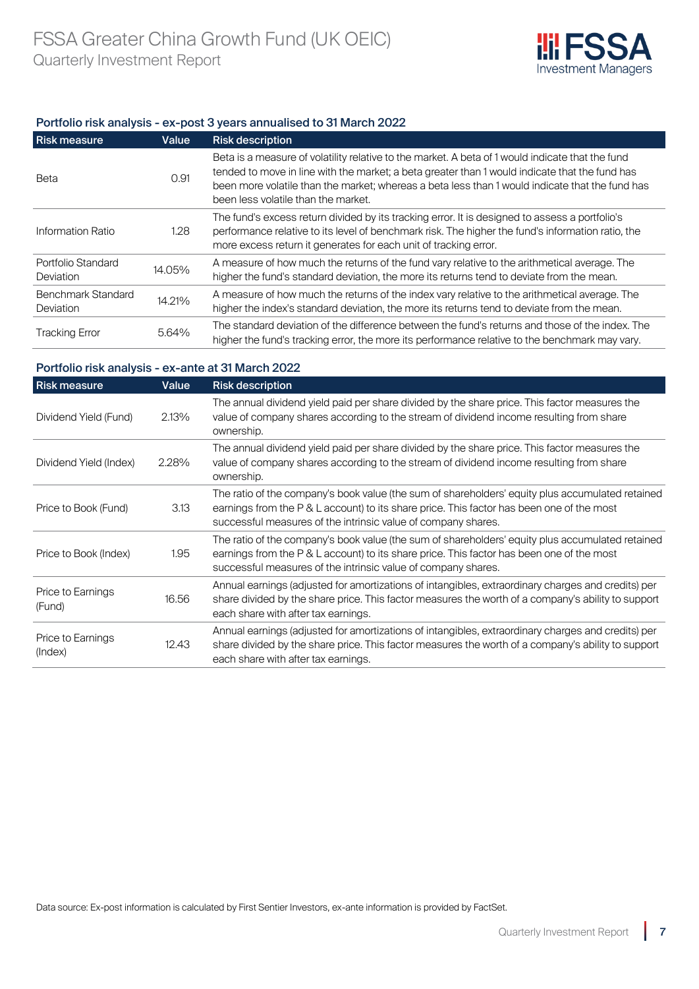

# Portfolio risk analysis - ex-post 3 years annualised to 31 March 2022

| <b>Risk measure</b>                    | Value  | <b>Risk description</b>                                                                                                                                                                                                                                                                                                                      |
|----------------------------------------|--------|----------------------------------------------------------------------------------------------------------------------------------------------------------------------------------------------------------------------------------------------------------------------------------------------------------------------------------------------|
| Beta                                   | 0.91   | Beta is a measure of volatility relative to the market. A beta of 1 would indicate that the fund<br>tended to move in line with the market; a beta greater than 1 would indicate that the fund has<br>been more volatile than the market; whereas a beta less than 1 would indicate that the fund has<br>been less volatile than the market. |
| Information Ratio                      | 1.28   | The fund's excess return divided by its tracking error. It is designed to assess a portfolio's<br>performance relative to its level of benchmark risk. The higher the fund's information ratio, the<br>more excess return it generates for each unit of tracking error.                                                                      |
| Portfolio Standard<br><b>Deviation</b> | 14.05% | A measure of how much the returns of the fund vary relative to the arithmetical average. The<br>higher the fund's standard deviation, the more its returns tend to deviate from the mean.                                                                                                                                                    |
| Benchmark Standard<br><b>Deviation</b> | 14.21% | A measure of how much the returns of the index vary relative to the arithmetical average. The<br>higher the index's standard deviation, the more its returns tend to deviate from the mean.                                                                                                                                                  |
| <b>Tracking Error</b>                  | 5.64%  | The standard deviation of the difference between the fund's returns and those of the index. The<br>higher the fund's tracking error, the more its performance relative to the benchmark may vary.                                                                                                                                            |

# Portfolio risk analysis - ex-ante at 31 March 2022

| <b>Risk measure</b>          | Value | <b>Risk description</b>                                                                                                                                                                                                                                        |
|------------------------------|-------|----------------------------------------------------------------------------------------------------------------------------------------------------------------------------------------------------------------------------------------------------------------|
| Dividend Yield (Fund)        | 2.13% | The annual dividend yield paid per share divided by the share price. This factor measures the<br>value of company shares according to the stream of dividend income resulting from share<br>ownership.                                                         |
| Dividend Yield (Index)       | 2.28% | The annual dividend yield paid per share divided by the share price. This factor measures the<br>value of company shares according to the stream of dividend income resulting from share<br>ownership.                                                         |
| Price to Book (Fund)         | 3.13  | The ratio of the company's book value (the sum of shareholders' equity plus accumulated retained<br>earnings from the P & L account) to its share price. This factor has been one of the most<br>successful measures of the intrinsic value of company shares. |
| Price to Book (Index)        | 1.95  | The ratio of the company's book value (the sum of shareholders' equity plus accumulated retained<br>earnings from the P & L account) to its share price. This factor has been one of the most<br>successful measures of the intrinsic value of company shares. |
| Price to Earnings<br>(Fund)  | 16.56 | Annual earnings (adjusted for amortizations of intangibles, extraordinary charges and credits) per<br>share divided by the share price. This factor measures the worth of a company's ability to support<br>each share with after tax earnings.                |
| Price to Earnings<br>(Index) | 12.43 | Annual earnings (adjusted for amortizations of intangibles, extraordinary charges and credits) per<br>share divided by the share price. This factor measures the worth of a company's ability to support<br>each share with after tax earnings.                |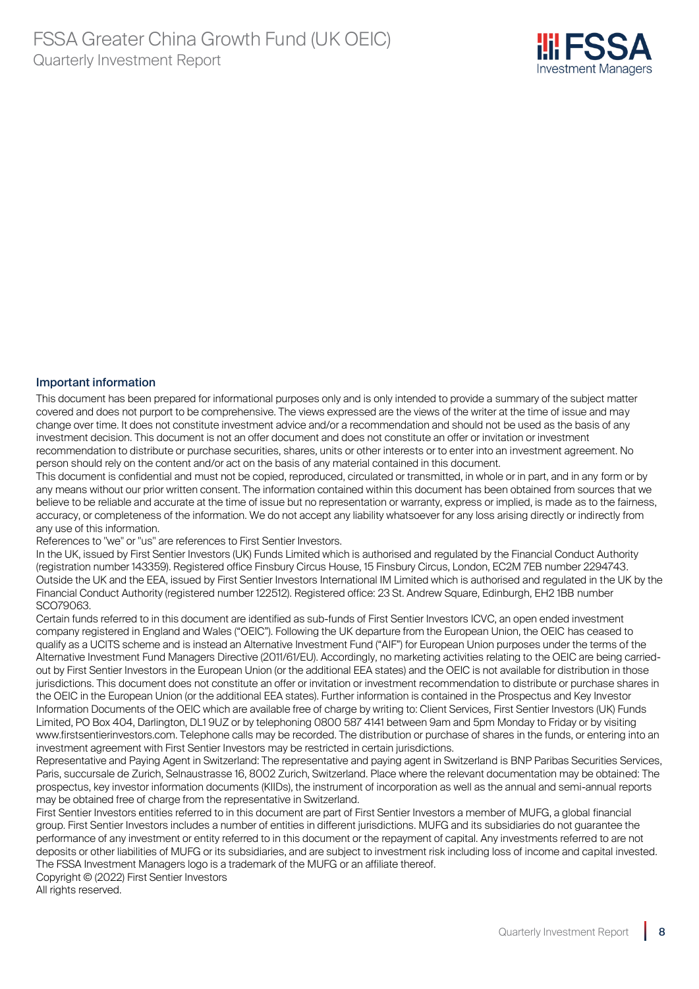

#### Important information

This document has been prepared for informational purposes only and is only intended to provide a summary of the subject matter covered and does not purport to be comprehensive. The views expressed are the views of the writer at the time of issue and may change over time. It does not constitute investment advice and/or a recommendation and should not be used as the basis of any investment decision. This document is not an offer document and does not constitute an offer or invitation or investment recommendation to distribute or purchase securities, shares, units or other interests or to enter into an investment agreement. No person should rely on the content and/or act on the basis of any material contained in this document.

This document is confidential and must not be copied, reproduced, circulated or transmitted, in whole or in part, and in any form or by any means without our prior written consent. The information contained within this document has been obtained from sources that we believe to be reliable and accurate at the time of issue but no representation or warranty, express or implied, is made as to the fairness, accuracy, or completeness of the information. We do not accept any liability whatsoever for any loss arising directly or indirectly from any use of this information.

References to "we" or "us" are references to First Sentier Investors.

In the UK, issued by First Sentier Investors (UK) Funds Limited which is authorised and regulated by the Financial Conduct Authority (registration number 143359). Registered office Finsbury Circus House, 15 Finsbury Circus, London, EC2M 7EB number 2294743. Outside the UK and the EEA, issued by First Sentier Investors International IM Limited which is authorised and regulated in the UK by the Financial Conduct Authority (registered number 122512). Registered office: 23 St. Andrew Square, Edinburgh, EH2 1BB number SCO79063.

Certain funds referred to in this document are identified as sub-funds of First Sentier Investors ICVC, an open ended investment company registered in England and Wales ("OEIC"). Following the UK departure from the European Union, the OEIC has ceased to qualify as a UCITS scheme and is instead an Alternative Investment Fund ("AIF") for European Union purposes under the terms of the Alternative Investment Fund Managers Directive (2011/61/EU). Accordingly, no marketing activities relating to the OEIC are being carriedout by First Sentier Investors in the European Union (or the additional EEA states) and the OEIC is not available for distribution in those jurisdictions. This document does not constitute an offer or invitation or investment recommendation to distribute or purchase shares in the OEIC in the European Union (or the additional EEA states). Further information is contained in the Prospectus and Key Investor Information Documents of the OEIC which are available free of charge by writing to: Client Services, First Sentier Investors (UK) Funds Limited, PO Box 404, Darlington, DL1 9UZ or by telephoning 0800 587 4141 between 9am and 5pm Monday to Friday or by visiting www.firstsentierinvestors.com. Telephone calls may be recorded. The distribution or purchase of shares in the funds, or entering into an investment agreement with First Sentier Investors may be restricted in certain jurisdictions.

Representative and Paying Agent in Switzerland: The representative and paying agent in Switzerland is BNP Paribas Securities Services, Paris, succursale de Zurich, Selnaustrasse 16, 8002 Zurich, Switzerland. Place where the relevant documentation may be obtained: The prospectus, key investor information documents (KIIDs), the instrument of incorporation as well as the annual and semi-annual reports may be obtained free of charge from the representative in Switzerland.

First Sentier Investors entities referred to in this document are part of First Sentier Investors a member of MUFG, a global financial group. First Sentier Investors includes a number of entities in different jurisdictions. MUFG and its subsidiaries do not guarantee the performance of any investment or entity referred to in this document or the repayment of capital. Any investments referred to are not deposits or other liabilities of MUFG or its subsidiaries, and are subject to investment risk including loss of income and capital invested. The FSSA Investment Managers logo is a trademark of the MUFG or an affiliate thereof.

Copyright © (2022) First Sentier Investors All rights reserved.